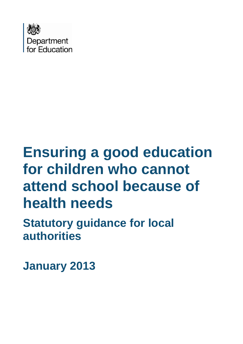

# **Ensuring a good education for children who cannot attend school because of health needs**

**Statutory guidance for local authorities**

**January 2013**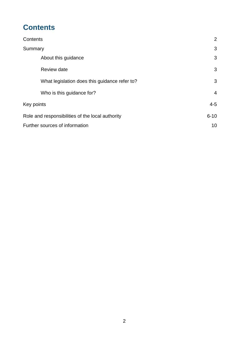# <span id="page-1-0"></span>**Contents**

| Contents                                         | 2              |
|--------------------------------------------------|----------------|
| Summary                                          | 3              |
| About this guidance                              | 3              |
| Review date                                      | 3              |
| What legislation does this guidance refer to?    | 3              |
| Who is this guidance for?                        | $\overline{4}$ |
| Key points                                       | $4 - 5$        |
| Role and responsibilities of the local authority | $6 - 10$       |
| Further sources of information                   | 10             |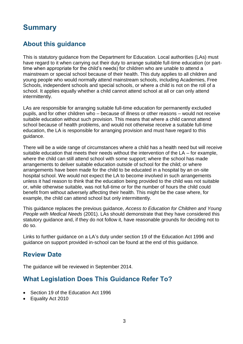# <span id="page-2-0"></span>**Summary**

## <span id="page-2-1"></span>**About this guidance**

<span id="page-2-2"></span>This is statutory guidance from the Department for Education. Local authorities (LAs) must have regard to it when carrying out their duty to arrange suitable full-time education (or parttime when appropriate for the child's needs) for children who are unable to attend a mainstream or special school because of their health. This duty applies to all children and young people who would normally attend mainstream schools, including Academies, Free Schools, independent schools and special schools, or where a child is not on the roll of a school. It applies equally whether a child cannot attend school at all or can only attend intermittently.

LAs are responsible for arranging suitable full-time education for permanently excluded pupils, and for other children who – because of illness or other reasons – would not receive suitable education without such provision. This means that where a child cannot attend school because of health problems, and would not otherwise receive a suitable full-time education, the LA is responsible for arranging provision and must have regard to this guidance.

There will be a wide range of circumstances where a child has a health need but will receive suitable education that meets their needs without the intervention of the LA – for example, where the child can still attend school with some support; where the school has made arrangements to deliver suitable education outside of school for the child; or where arrangements have been made for the child to be educated in a hospital by an on-site hospital school. We would not expect the LA to become involved in such arrangements unless it had reason to think that the education being provided to the child was not suitable or, while otherwise suitable, was not full-time or for the number of hours the child could benefit from without adversely affecting their health. This might be the case where, for example, the child can attend school but only intermittently.

This guidance replaces the previous guidance, *Access to Education for Children and Young People with Medical Needs* (2001). LAs should demonstrate that they have considered this statutory guidance and, if they do not follow it, have reasonable grounds for deciding not to do so.

Links to further guidance on a LA's duty under section 19 of the Education Act 1996 and guidance on support provided in-school can be found at the end of this guidance.

## **Review Date**

The guidance will be reviewed in September 2014.

## <span id="page-2-3"></span>**What Legislation Does This Guidance Refer To?**

- Section 19 of the Education Act 1996
- Equality Act 2010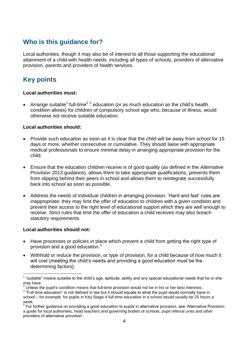# **Who is this guidance for?**

Local authorities, though it may also be of interest to all those supporting the educational attainment of a child with health needs, including all types of schools, providers of alternative provision, parents and providers of health services.

# <span id="page-3-0"></span>**Key points**

#### <span id="page-3-1"></span>**Local authorities must:**

• Arrange suitable<sup>1</sup> full-time<sup>2 3</sup> education (or as much education as the child's health condition allows) for children of compulsory school age who, because of illness, would otherwise not receive suitable education.

#### **Local authorities should:**

- Provide such education as soon as it is clear that the child will be away from school for 15 days or more, whether consecutive or cumulative. They should liaise with appropriate medical professionals to ensure minimal delay in arranging appropriate provision for the child.
- Ensure that the education children receive is of good quality (as defined in the *Alternative Provision* 2013 guidance), allows them to take appropriate qualifications, prevents them from slipping behind their peers in school and allows them to reintegrate successfully back into school as soon as possible.
- Address the needs of individual children in arranging provision. 'Hard and fast' rules are inappropriate: they may limit the offer of education to children with a given condition and prevent their access to the right level of educational support which they are well enough to receive. Strict rules that limit the offer of education a child receives may also breach statutory requirements.

#### **Local authorities should not:**

1

- Have processes or policies in place which prevent a child from getting the right type of provision and a good education. 4
- Withhold or reduce the provision, or type of provision, for a child because of how much it will cost (meeting the child's needs and providing a good education must be the determining factors).

 $1$  "suitable" means suitable to the child's age, aptitude, ability and any special educational needs that he or she may have.

<sup>2</sup> Unless the pupil's condition means that full-time provision would not be in his or her best interests.

 $3$  "Full-time education" is not defined in law but it should equate to what the pupil would normally have in school – for example, for pupils in Key Stage 4 full-time education in a school would usually be 25 hours a week.

<sup>&</sup>lt;sup>4</sup> For further guidance on providing a good education to pupils in alternative provision, see 'Alternative Provision: a guide for local authorities, head teachers and governing bodies of schools, pupil referral units and other providers of alternative provision'.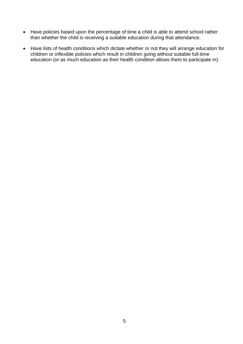- Have policies based upon the percentage of time a child is able to attend school rather than whether the child is receiving a suitable education during that attendance.
- Have lists of health conditions which dictate whether or not they will arrange education for children or inflexible policies which result in children going without suitable full-time education (or as much education as their health condition allows them to participate in).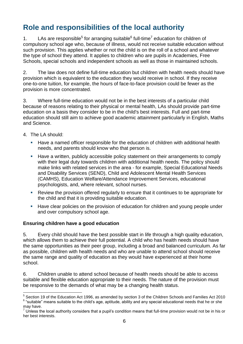# **Role and responsibilities of the local authority**

1. LAs are responsible<sup>5</sup> for arranging suitable<sup>6</sup> full-time<sup>7</sup> education for children of compulsory school age who, because of illness, would not receive suitable education without such provision. This applies whether or not the child is on the roll of a school and whatever the type of school they attend. It applies to children who are pupils in Academies, Free Schools, special schools and independent schools as well as those in maintained schools.

2. The law does not define full-time education but children with health needs should have provision which is equivalent to the education they would receive in school. If they receive one-to-one tuition, for example, the hours of face-to-face provision could be fewer as the provision is more concentrated.

3. Where full-time education would not be in the best interests of a particular child because of reasons relating to their physical or mental health, LAs should provide part-time education on a basis they consider to be in the child's best interests. Full and part-time education should still aim to achieve good academic attainment particularly in English, Maths and Science.

- 4. The LA should:
	- Have a named officer responsible for the education of children with additional health needs, and parents should know who that person is.
	- **Have a written, publicly accessible policy statement on their arrangements to comply** with their legal duty towards children with additional health needs. The policy should make links with related services in the area - for example, Special Educational Needs and Disability Services (SEND), Child and Adolescent Mental Health Services (CAMHS), Education Welfare/Attendance Improvement Services, educational psychologists, and, where relevant, school nurses.
	- Review the provision offered regularly to ensure that it continues to be appropriate for the child and that it is providing suitable education.
	- **Have clear policies on the provision of education for children and young people under** and over compulsory school age.

#### **Ensuring children have a good education**

5. Every child should have the best possible start in life through a high quality education, which allows them to achieve their full potential. A child who has health needs should have the same opportunities as their peer group, including a broad and balanced curriculum. As far as possible, children with health needs and who are unable to attend school should receive the same range and quality of education as they would have experienced at their home school.

6. Children unable to attend school because of health needs should be able to access suitable and flexible education appropriate to their needs. The nature of the provision must be responsive to the demands of what may be a changing health status.

 5 Section 19 of the Education Act 1996, as amended by section 3 of the Children Schools and Families Act 2010 <sup>6</sup> "suitable" means suitable to the child's age, aptitude, ability and any special educational needs that he or she may have.

Unless the local authority considers that a pupil's condition means that full-time provision would not be in his or her best interests.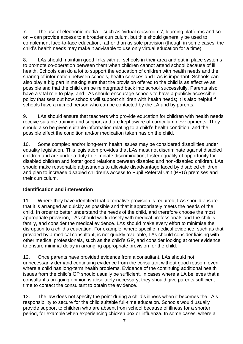7. The use of electronic media – such as 'virtual classrooms', learning platforms and so on – can provide access to a broader curriculum, but this should generally be used to complement face-to-face education, rather than as sole provision (though in some cases, the child's health needs may make it advisable to use only virtual education for a time).

8. LAs should maintain good links with all schools in their area and put in place systems to promote co-operation between them when children cannot attend school because of ill health. Schools can do a lot to support the education of children with health needs and the sharing of information between schools, health services and LAs is important. Schools can also play a big part in making sure that the provision offered to the child is as effective as possible and that the child can be reintegrated back into school successfully. Parents also have a vital role to play, and LAs should encourage schools to have a publicly accessible policy that sets out how schools will support children with health needs; it is also helpful if schools have a named person who can be contacted by the LA and by parents.

9. LAs should ensure that teachers who provide education for children with health needs receive suitable training and support and are kept aware of curriculum developments. They should also be given suitable information relating to a child's health condition, and the possible effect the condition and/or medication taken has on the child.

10. Some complex and/or long-term health issues may be considered disabilities under equality legislation. This legislation provides that LAs must not discriminate against disabled children and are under a duty to eliminate discrimination, foster equality of opportunity for disabled children and foster good relations between disabled and non-disabled children. LAs should make reasonable adjustments to alleviate disadvantage faced by disabled children, and plan to increase disabled children's access to Pupil Referral Unit (PRU) premises and their curriculum.

#### **Identification and intervention**

11. Where they have identified that alternative provision is required, LAs should ensure that it is arranged as quickly as possible and that it appropriately meets the needs of the child. In order to better understand the needs of the child, and therefore choose the most appropriate provision, LAs should work closely with medical professionals and the child's family, and consider the medical evidence. LAs should make every effort to minimise the disruption to a child's education. For example, where specific medical evidence, such as that provided by a medical consultant, is not quickly available, LAs should consider liaising with other medical professionals, such as the child's GP, and consider looking at other evidence to ensure minimal delay in arranging appropriate provision for the child.

12. Once parents have provided evidence from a consultant, LAs should not unnecessarily demand continuing evidence from the consultant without good reason, even where a child has long-term health problems. Evidence of the continuing additional health issues from the child's GP should usually be sufficient. In cases where a LA believes that a consultant's on-going opinion is absolutely necessary, they should give parents sufficient time to contact the consultant to obtain the evidence.

13. The law does not specify the point during a child's illness when it becomes the LA's responsibility to secure for the child suitable full-time education. Schools would usually provide support to children who are absent from school because of illness for a shorter period, for example when experiencing chicken pox or influenza. In some cases, where a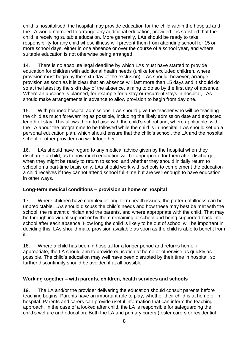child is hospitalised, the hospital may provide education for the child within the hospital and the LA would not need to arrange any additional education, provided it is satisfied that the child is receiving suitable education. More generally, LAs should be ready to take responsibility for any child whose illness will prevent them from attending school for 15 or more school days, either in one absence or over the course of a school year, and where suitable education is not otherwise being arranged.

14. There is no absolute legal deadline by which LAs must have started to provide education for children with additional health needs (unlike for excluded children, where provision must begin by the sixth day of the exclusion). LAs should, however, arrange provision as soon as it is clear that an absence will last more than 15 days and it should do so at the latest by the sixth day of the absence, aiming to do so by the first day of absence. Where an absence is planned, for example for a stay or recurrent stays in hospital, LAs should make arrangements in advance to allow provision to begin from day one.

15. With planned hospital admissions, LAs should give the teacher who will be teaching the child as much forewarning as possible, including the likely admission date and expected length of stay. This allows them to liaise with the child's school and, where applicable, with the LA about the programme to be followed while the child is in hospital. LAs should set up a personal education plan, which should ensure that the child's school, the LA and the hospital school or other provider can work together.

16. LAs should have regard to any medical advice given by the hospital when they discharge a child, as to how much education will be appropriate for them after discharge, when they might be ready to return to school and whether they should initially return to school on a part-time basis only. LAs should work with schools to complement the education a child receives if they cannot attend school full-time but are well enough to have education in other ways.

#### **Long-term medical conditions – provision at home or hospital**

17. Where children have complex or long-term health issues, the pattern of illness can be unpredictable. LAs should discuss the child's needs and how these may best be met with the school, the relevant clinician and the parents, and where appropriate with the child. That may be through individual support or by them remaining at school and being supported back into school after each absence. How long the child is likely to be out of school will be important in deciding this. LAs should make provision available as soon as the child is able to benefit from it.

18. Where a child has been in hospital for a longer period and returns home, if appropriate, the LA should aim to provide education at home or otherwise as quickly as possible. The child's education may well have been disrupted by their time in hospital, so further discontinuity should be avoided if at all possible.

#### **Working together – with parents, children, health services and schools**

19. The LA and/or the provider delivering the education should consult parents before teaching begins. Parents have an important role to play, whether their child is at home or in hospital. Parents and carers can provide useful information that can inform the teaching approach. In the case of a looked after child, the LA is responsible for safeguarding the child's welfare and education. Both the LA and primary carers (foster carers or residential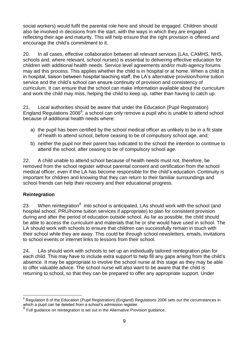social workers) would fulfil the parental role here and should be engaged. Children should also be involved in decisions from the start, with the ways in which they are engaged reflecting their age and maturity. This will help ensure that the right provision is offered and encourage the child's commitment to it.

20. In all cases, effective collaboration between all relevant services (LAs, CAMHS, NHS, schools and, where relevant, school nurses) is essential to delivering effective education for children with additional health needs. Service level agreements and/or multi-agency forums may aid this process. This applies whether the child is in hospital or at home. When a child is in hospital, liaison between hospital teaching staff, the LA's alternative provision/home tuition service and the child's school can ensure continuity of provision and consistency of curriculum. It can ensure that the school can make information available about the curriculum and work the child may miss, helping the child to keep up, rather than having to catch up.

21. Local authorities should be aware that under the Education (Pupil Registration) England Regulations 2006<sup>8</sup>, a school can only remove a pupil who is unable to attend school because of additional health needs where:

- a) the pupil has been certified by the school medical officer as unlikely to be in a fit state of health to attend school, before ceasing to be of compulsory school age, and;
- b) neither the pupil nor their parent has indicated to the school the intention to continue to attend the school, after ceasing to be of compulsory school age.

22. A child unable to attend school because of health needs must not, therefore, be removed from the school register without parental consent and certification from the school medical officer, even if the LA has become responsible for the child's education. Continuity is important for children and knowing that they can return to their familiar surroundings and school friends can help their recovery and their educational progress.

#### **Reintegration**

23. When reintegration<sup>9</sup> into school is anticipated, LAs should work with the school (and hospital school, PRU/home tuition services if appropriate) to plan for consistent provision during and after the period of education outside school. As far as possible, the child should be able to access the curriculum and materials that he or she would have used in school. The LA should work with schools to ensure that children can successfully remain in touch with their school while they are away. This could be through school newsletters, emails, invitations to school events or internet links to lessons from their school.

24. LAs should work with schools to set up an individually tailored reintegration plan for each child. This may have to include extra support to help fill any gaps arising from the child's absence. It may be appropriate to involve the school nurse at this stage as they may be able to offer valuable advice. The school nurse will also want to be aware that the child is returning to school, so that they can be prepared to offer any appropriate support. Under

<sup>1</sup>  $8$  Regulation 8 of the Education (Pupil Registration) (England) Regulations 2006 sets out the circumstances in which a pupil can be deleted from a school's admission register.

 $9$  Full guidance on reintegration is set out in the Alternative Provision guidance.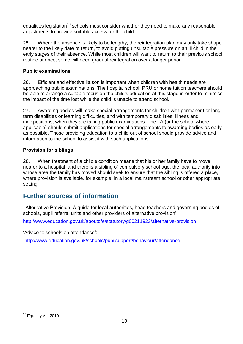equalities legislation<sup>10</sup> schools must consider whether they need to make any reasonable adjustments to provide suitable access for the child.

25. Where the absence is likely to be lengthy, the reintegration plan may only take shape nearer to the likely date of return, to avoid putting unsuitable pressure on an ill child in the early stages of their absence. While most children will want to return to their previous school routine at once, some will need gradual reintegration over a longer period.

#### **Public examinations**

26. Efficient and effective liaison is important when children with health needs are approaching public examinations. The hospital school, PRU or home tuition teachers should be able to arrange a suitable focus on the child's education at this stage in order to minimise the impact of the time lost while the child is unable to attend school.

27. Awarding bodies will make special arrangements for children with permanent or longterm disabilities or learning difficulties, and with temporary disabilities, illness and indispositions, when they are taking public examinations. The LA (or the school where applicable) should submit applications for special arrangements to awarding bodies as early as possible. Those providing education to a child out of school should provide advice and information to the school to assist it with such applications.

#### **Provision for siblings**

28. When treatment of a child's condition means that his or her family have to move nearer to a hospital, and there is a sibling of compulsory school age, the local authority into whose area the family has moved should seek to ensure that the sibling is offered a place, where provision is available, for example, in a local mainstream school or other appropriate setting.

## <span id="page-9-0"></span>**Further sources of information**

'Alternative Provision: A guide for local authorities, head teachers and governing bodies of schools, pupil referral units and other providers of alternative provision':

<http://www.education.gov.uk/aboutdfe/statutory/g00211923/alternative-provision>

'Advice to schools on attendance':

<http://www.education.gov.uk/schools/pupilsupport/behaviour/attendance>

<sup>1</sup> <sup>10</sup> Equality Act 2010